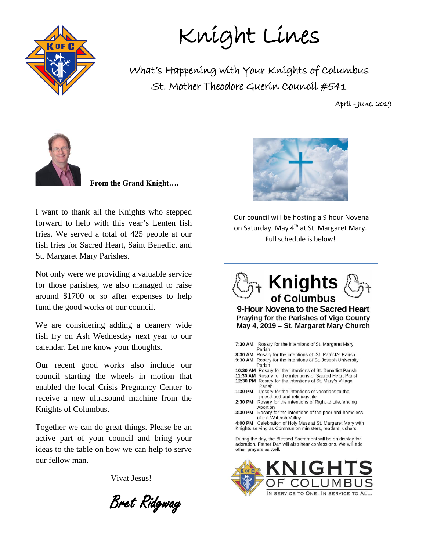

Knight Lines

What's Happening with Your Knights of Columbus St. Mother Theodore Guerin Council #541

April - June, 2019



 **From the Grand Knight….**

I want to thank all the Knights who stepped forward to help with this year's Lenten fish fries. We served a total of 425 people at our fish fries for Sacred Heart, Saint Benedict and St. Margaret Mary Parishes.

Not only were we providing a valuable service for those parishes, we also managed to raise around \$1700 or so after expenses to help fund the good works of our council.

We are considering adding a deanery wide fish fry on Ash Wednesday next year to our calendar. Let me know your thoughts.

Our recent good works also include our council starting the wheels in motion that enabled the local Crisis Pregnancy Center to receive a new ultrasound machine from the Knights of Columbus.

Together we can do great things. Please be an active part of your council and bring your ideas to the table on how we can help to serve our fellow man.

Vivat Jesus!

Bret Ridgway



Our council will be hosting a 9 hour Novena on Saturday, May 4<sup>th</sup> at St. Margaret Mary. Full schedule is below!



9-Hour Novena to the Sacred Heart Praying for the Parishes of Vigo County May 4, 2019 - St. Margaret Mary Church

| 7:30 AM                                                                                                                                                 | Rosary for the intentions of St. Margaret Mary<br>Parish                       |  |  |  |
|---------------------------------------------------------------------------------------------------------------------------------------------------------|--------------------------------------------------------------------------------|--|--|--|
| 8:30 AM                                                                                                                                                 | Rosary for the intentions of St. Patrick's Parish                              |  |  |  |
| 9:30 AM                                                                                                                                                 | Rosary for the intentions of St. Joseph University<br>Parish                   |  |  |  |
|                                                                                                                                                         | 10:30 AM Rosary for the intentions of St. Benedict Parish                      |  |  |  |
| 11:30 AM                                                                                                                                                | Rosary for the intentions of Sacred Heart Parish                               |  |  |  |
| 12:30 PM                                                                                                                                                | Rosary for the intentions of St. Mary's Village<br>Parish                      |  |  |  |
| 1:30 PM                                                                                                                                                 | Rosary for the intentions of vocations to the<br>priesthood and religious life |  |  |  |
| 2:30 PM                                                                                                                                                 | Rosary for the intentions of Right to Life, ending<br>Abortion                 |  |  |  |
| 3:30 PM                                                                                                                                                 | Rosary for the intentions of the poor and homeless<br>of the Wabash Valley     |  |  |  |
| 4:00 PM                                                                                                                                                 | Celebration of Holy Mass at St. Margaret Mary with                             |  |  |  |
|                                                                                                                                                         | Knights serving as Communion ministers, readers, ushers.                       |  |  |  |
| During the day, the Blessed Sacrament will be on display for<br>adoration. Father Dan will also hear confessions. We will add<br>other prayers as well. |                                                                                |  |  |  |

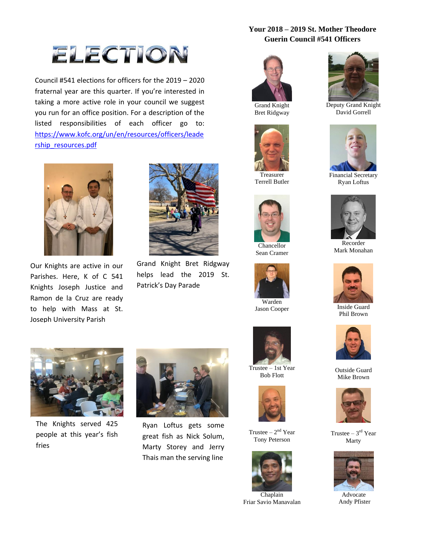#### **Your 2018 – 2019 St. Mother Theodore Guerin Council #541 Officers**



Council #541 elections for officers for the 2019 – 2020 fraternal year are this quarter. If you're interested in taking a more active role in your council we suggest you run for an office position. For a description of the listed responsibilities of each officer go to: [https://www.kofc.org/un/en/resources/officers/leade](https://www.kofc.org/un/en/resources/officers/leadership_resources.pdf) [rship\\_resources.pdf](https://www.kofc.org/un/en/resources/officers/leadership_resources.pdf)



Our Knights are active in our Parishes. Here, K of C 541 Knights Joseph Justice and Ramon de la Cruz are ready to help with Mass at St. Joseph University Parish



Grand Knight Bret Ridgway helps lead the 2019 St. Patrick's Day Parade



Grand Knight Bret Ridgway



Treasurer Terrell Butler



Chancellor Sean Cramer





Trustee – 1st Year Bob Flott



Trustee  $-2<sup>nd</sup>$  Year Tony Peterson



Friar Savio Manavalan



Deputy Grand Knight David Gorrell



Financial Secretary Ryan Loftus



Recorder Mark Monahan



Inside Guard Phil Brown



Outside Guard Mike Brown



Trustee  $-3<sup>rd</sup>$  Year Marty



 Advocate Andy Pfister



The Knights served 425 people at this year's fish fries



Ryan Loftus gets some great fish as Nick Solum, Marty Storey and Jerry Thais man the serving line

Warden Jason Cooper

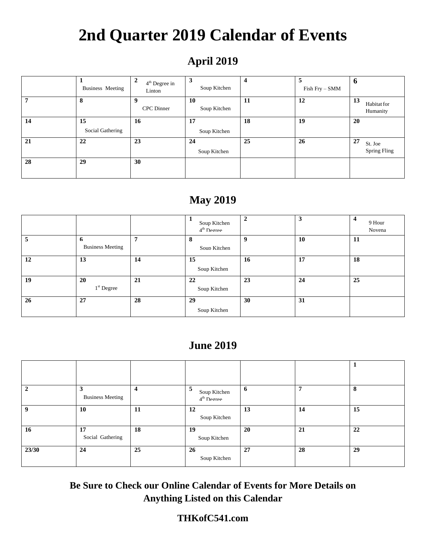# **2nd Quarter 2019 Calendar of Events**

### **April 2019**

|    | Business Meeting       | $\overline{2}$<br>$4th$ Degree in<br>Linton | 3<br>Soup Kitchen         | 4  | 5<br>Fish Fry - SMM | O                             |
|----|------------------------|---------------------------------------------|---------------------------|----|---------------------|-------------------------------|
| 7  | 8                      | 9<br><b>CPC</b> Dinner                      | <b>10</b><br>Soup Kitchen | 11 | 12                  | 13<br>Habitat for<br>Humanity |
| 14 | 15<br>Social Gathering | 16                                          | 17<br>Soup Kitchen        | 18 | 19                  | 20                            |
| 21 | 22                     | 23                                          | 24<br>Soup Kitchen        | 25 | 26                  | 27<br>St. Joe<br>Spring Fling |
| 28 | 29                     | 30                                          |                           |    |                     |                               |

### **May 2019**

|    |                              |    | Soup Kitchen<br>4 <sup>th</sup> Degree | $\overline{2}$   | $\overline{\mathbf{3}}$ | 4<br>9 Hour<br>Novena |
|----|------------------------------|----|----------------------------------------|------------------|-------------------------|-----------------------|
| 5  | 6<br><b>Business Meeting</b> | 7  | 8<br>Soup Kitchen                      | $\boldsymbol{Q}$ | 10                      | 11                    |
| 12 | 13                           | 14 | 15<br>Soup Kitchen                     | 16               | 17                      | 18                    |
| 19 | 20<br>$1st$ Degree           | 21 | 22<br>Soup Kitchen                     | 23               | 24                      | 25                    |
| 26 | 27                           | 28 | 29<br>Soup Kitchen                     | 30               | 31                      |                       |

#### **June 2019**

| $\mathbf{2}$     | 3<br><b>Business Meeting</b> | $\overline{\mathbf{4}}$ | э<br>Soup Kitchen<br>$4th$ Degree | $\mathbf{6}$ | 7  | 8  |
|------------------|------------------------------|-------------------------|-----------------------------------|--------------|----|----|
| $\boldsymbol{q}$ | 10                           | 11                      | 12<br>Soup Kitchen                | 13           | 14 | 15 |
| 16               | 17<br>Social Gathering       | 18                      | 19<br>Soup Kitchen                | 20           | 21 | 22 |
| 23/30            | 24                           | 25                      | 26<br>Soup Kitchen                | 27           | 28 | 29 |

**Be Sure to Check our Online Calendar of Events for More Details on Anything Listed on this Calendar**

#### **THKofC541.com**